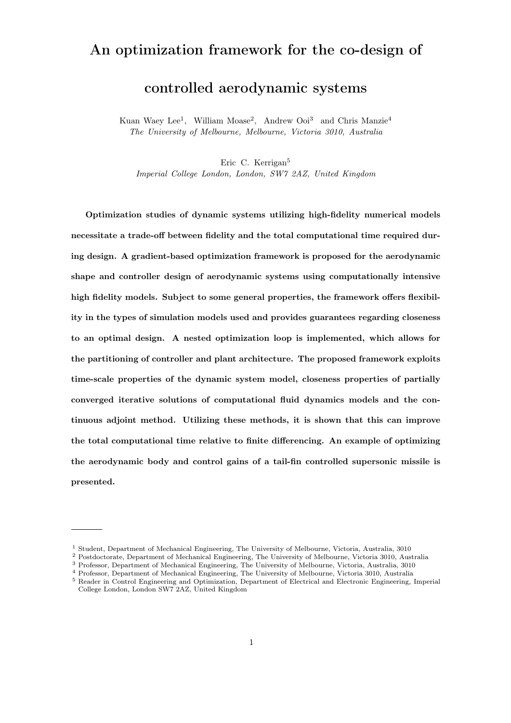# An optimization framework for the co-design of

# controlled aerodynamic systems

Kuan Waey Lee<sup>1</sup>, William Moase<sup>2</sup>, Andrew Ooi<sup>3</sup> and Chris Manzie<sup>4</sup> The University of Melbourne, Melbourne, Victoria 3010, Australia

Eric C. Kerrigan<sup>5</sup>

Imperial College London, London, SW7 2AZ, United Kingdom

Optimization studies of dynamic systems utilizing high-fidelity numerical models necessitate a trade-off between fidelity and the total computational time required during design. A gradient-based optimization framework is proposed for the aerodynamic shape and controller design of aerodynamic systems using computationally intensive high fidelity models. Subject to some general properties, the framework offers flexibility in the types of simulation models used and provides guarantees regarding closeness to an optimal design. A nested optimization loop is implemented, which allows for the partitioning of controller and plant architecture. The proposed framework exploits time-scale properties of the dynamic system model, closeness properties of partially converged iterative solutions of computational fluid dynamics models and the continuous adjoint method. Utilizing these methods, it is shown that this can improve the total computational time relative to finite differencing. An example of optimizing the aerodynamic body and control gains of a tail-fin controlled supersonic missile is presented.

<sup>1</sup> Student, Department of Mechanical Engineering, The University of Melbourne, Victoria, Australia, 3010

<sup>2</sup> Postdoctorate, Department of Mechanical Engineering, The University of Melbourne, Victoria 3010, Australia

<sup>3</sup> Professor, Department of Mechanical Engineering, The University of Melbourne, Victoria, Australia, 3010

<sup>4</sup> Professor, Department of Mechanical Engineering, The University of Melbourne, Victoria 3010, Australia

<sup>5</sup> Reader in Control Engineering and Optimization, Department of Electrical and Electronic Engineering, Imperial College London, London SW7 2AZ, United Kingdom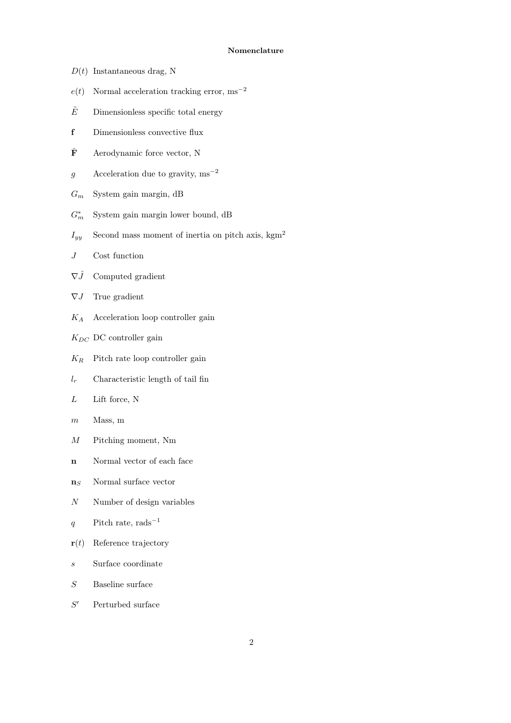## Nomenclature

- $D(t)$  Instantaneous drag, N
- $e(t)$  Normal acceleration tracking error, ms<sup>-2</sup>
- $\tilde{E}$  Dimensionless specific total energy
- f Dimensionless convective flux
- $\hat{\mathbf{F}}$  Aerodynamic force vector, N
- g Acceleration due to gravity,  $ms^{-2}$
- $G_m$  System gain margin, dB
- $G_{m}^*$ System gain margin lower bound, dB
- $I_{yy}$  Second mass moment of inertia on pitch axis, kgm<sup>2</sup>
- J Cost function
- $\nabla \hat{J}$  Computed gradient
- $\nabla J$  True gradient
- $K_A$  Acceleration loop controller gain
- $K_{DC}$  DC controller gain
- $K_R$  Pitch rate loop controller gain
- $l_r$  Characteristic length of tail fin
- $L$  Lift force, N
- $m$  Mass, m
- M Pitching moment, Nm
- n Normal vector of each face
- $\mathbf{n}_S$  Normal surface vector
- $N$  Number of design variables
- q Pitch rate, rads<sup>-1</sup>
- $\mathbf{r}(t)$  Reference trajectory
- s Surface coordinate
- S Baseline surface
- $S'$ Perturbed surface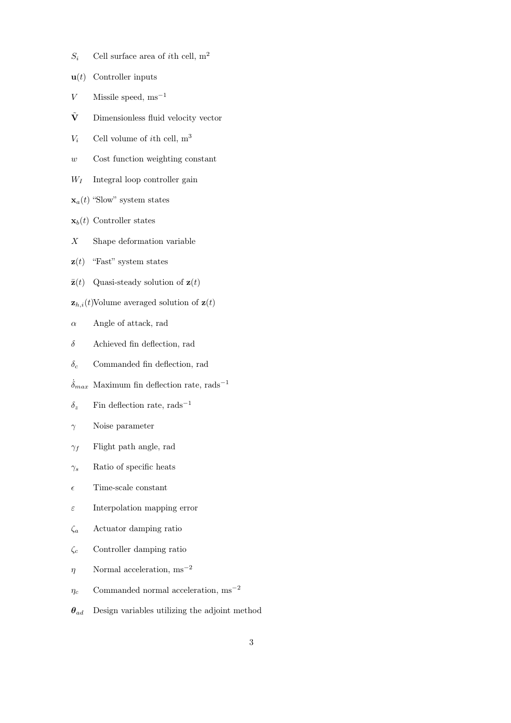- $S_i$  Cell surface area of *i*th cell, m<sup>2</sup>
- $\mathbf{u}(t)$  Controller inputs
- $V$  Missile speed, ms<sup>-1</sup>
- $\tilde{\mathbf{V}}$  Dimensionless fluid velocity vector
- $V_i$  Cell volume of *i*th cell,  $m^3$
- w Cost function weighting constant
- $W_I$  Integral loop controller gain
- $\mathbf{x}_a(t)$  "Slow" system states
- $\mathbf{x}_b(t)$  Controller states
- X Shape deformation variable
- $\mathbf{z}(t)$  "Fast" system states
- $\bar{\mathbf{z}}(t)$  Quasi-steady solution of  $\mathbf{z}(t)$
- $\mathbf{z}_{h,i}(t)$ Volume averaged solution of  $\mathbf{z}(t)$
- $\alpha$  Angle of attack, rad
- $\delta$  Achieved fin deflection, rad
- $\delta_c$  Commanded fin deflection, rad
- $\dot{\delta}_{max}$  Maximum fin deflection rate, rads<sup>-1</sup>
- $\delta_z$  Fin deflection rate, rads<sup>-1</sup>
- $\gamma$  Noise parameter
- $\gamma_f$  Flight path angle, rad
- $\gamma_s$  Ratio of specific heats
- $\epsilon$  Time-scale constant
- $\varepsilon$  Interpolation mapping error
- $\zeta_a$  Actuator damping ratio
- $\zeta_c$  Controller damping ratio
- $\eta$  Normal acceleration, ms<sup>-2</sup>
- $\eta_c$  Commanded normal acceleration,  $\mathrm{ms}^{-2}$
- $\theta_{ad}$  Design variables utilizing the adjoint method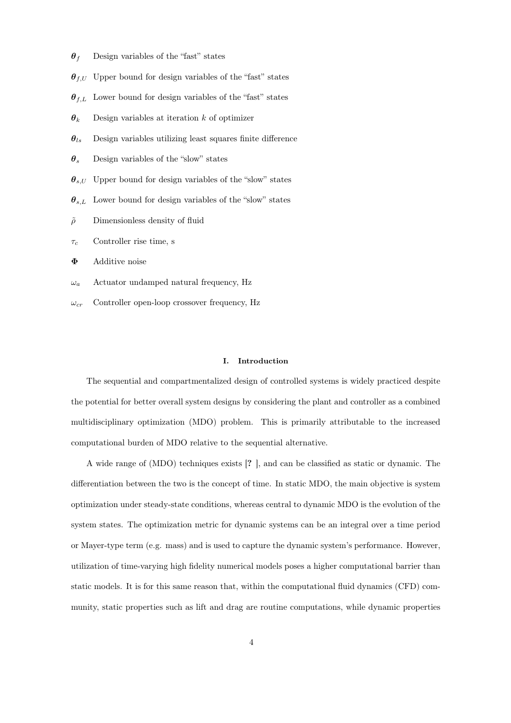- $\theta_f$  Design variables of the "fast" states
- $\theta_{f,U}$  Upper bound for design variables of the "fast" states
- $\theta_{f,L}$  Lower bound for design variables of the "fast" states
- $\theta_k$  Design variables at iteration k of optimizer
- $\theta_{ls}$  Design variables utilizing least squares finite difference
- $\theta_s$  Design variables of the "slow" states
- $\theta_{s,U}$  Upper bound for design variables of the "slow" states
- $\theta_{s.L}$  Lower bound for design variables of the "slow" states
- $\tilde{\rho}$  Dimensionless density of fluid
- $\tau_c$  Controller rise time, s
- Φ Additive noise
- $\omega_a$  Actuator undamped natural frequency, Hz
- $\omega_{cr}$  Controller open-loop crossover frequency, Hz

## I. Introduction

The sequential and compartmentalized design of controlled systems is widely practiced despite the potential for better overall system designs by considering the plant and controller as a combined multidisciplinary optimization (MDO) problem. This is primarily attributable to the increased computational burden of MDO relative to the sequential alternative.

A wide range of (MDO) techniques exists [? ], and can be classified as static or dynamic. The differentiation between the two is the concept of time. In static MDO, the main objective is system optimization under steady-state conditions, whereas central to dynamic MDO is the evolution of the system states. The optimization metric for dynamic systems can be an integral over a time period or Mayer-type term (e.g. mass) and is used to capture the dynamic system's performance. However, utilization of time-varying high fidelity numerical models poses a higher computational barrier than static models. It is for this same reason that, within the computational fluid dynamics (CFD) community, static properties such as lift and drag are routine computations, while dynamic properties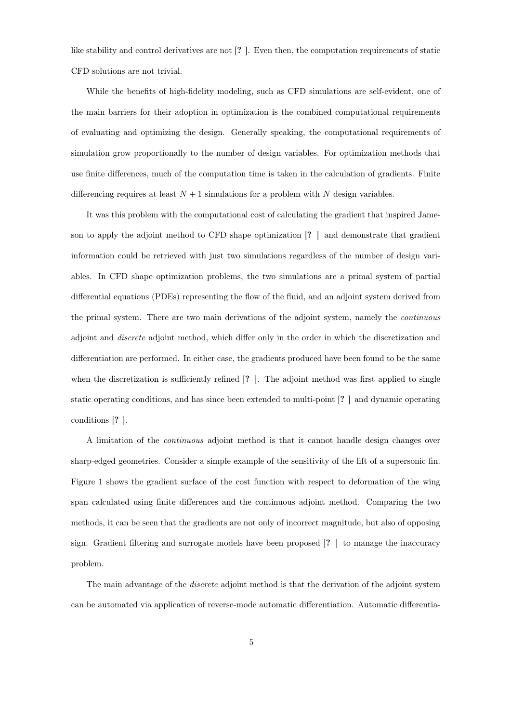like stability and control derivatives are not [? ]. Even then, the computation requirements of static CFD solutions are not trivial.

While the benefits of high-fidelity modeling, such as CFD simulations are self-evident, one of the main barriers for their adoption in optimization is the combined computational requirements of evaluating and optimizing the design. Generally speaking, the computational requirements of simulation grow proportionally to the number of design variables. For optimization methods that use finite differences, much of the computation time is taken in the calculation of gradients. Finite differencing requires at least  $N+1$  simulations for a problem with N design variables.

It was this problem with the computational cost of calculating the gradient that inspired Jameson to apply the adjoint method to CFD shape optimization [? ] and demonstrate that gradient information could be retrieved with just two simulations regardless of the number of design variables. In CFD shape optimization problems, the two simulations are a primal system of partial differential equations (PDEs) representing the flow of the fluid, and an adjoint system derived from the primal system. There are two main derivations of the adjoint system, namely the continuous adjoint and discrete adjoint method, which differ only in the order in which the discretization and differentiation are performed. In either case, the gradients produced have been found to be the same when the discretization is sufficiently refined  $[? \]$ . The adjoint method was first applied to single static operating conditions, and has since been extended to multi-point [? ] and dynamic operating conditions [? ].

A limitation of the continuous adjoint method is that it cannot handle design changes over sharp-edged geometries. Consider a simple example of the sensitivity of the lift of a supersonic fin. Figure 1 shows the gradient surface of the cost function with respect to deformation of the wing span calculated using finite differences and the continuous adjoint method. Comparing the two methods, it can be seen that the gradients are not only of incorrect magnitude, but also of opposing sign. Gradient filtering and surrogate models have been proposed [? ] to manage the inaccuracy problem.

The main advantage of the *discrete* adjoint method is that the derivation of the adjoint system can be automated via application of reverse-mode automatic differentiation. Automatic differentia-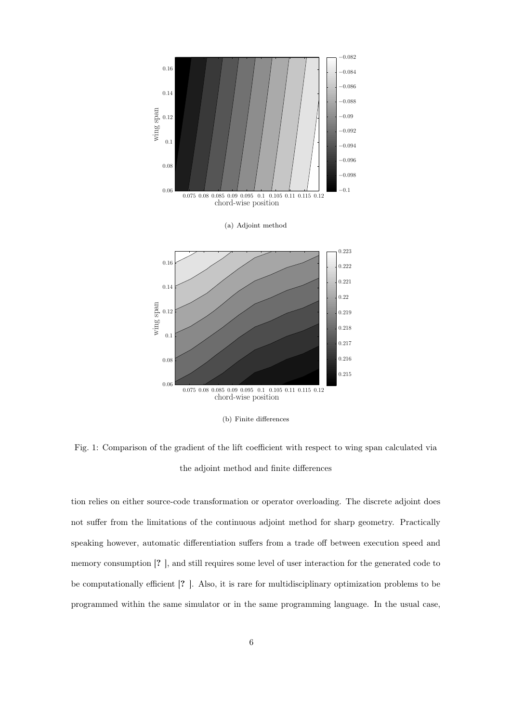

(b) Finite differences

Fig. 1: Comparison of the gradient of the lift coefficient with respect to wing span calculated via the adjoint method and finite differences

tion relies on either source-code transformation or operator overloading. The discrete adjoint does not suffer from the limitations of the continuous adjoint method for sharp geometry. Practically speaking however, automatic differentiation suffers from a trade off between execution speed and memory consumption [? ], and still requires some level of user interaction for the generated code to be computationally efficient [? ]. Also, it is rare for multidisciplinary optimization problems to be programmed within the same simulator or in the same programming language. In the usual case,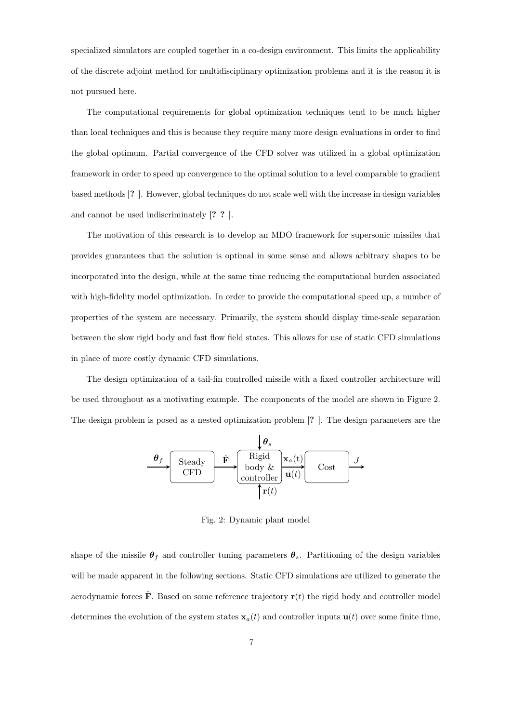specialized simulators are coupled together in a co-design environment. This limits the applicability of the discrete adjoint method for multidisciplinary optimization problems and it is the reason it is not pursued here.

The computational requirements for global optimization techniques tend to be much higher than local techniques and this is because they require many more design evaluations in order to find the global optimum. Partial convergence of the CFD solver was utilized in a global optimization framework in order to speed up convergence to the optimal solution to a level comparable to gradient based methods [? ]. However, global techniques do not scale well with the increase in design variables and cannot be used indiscriminately [? ? ].

The motivation of this research is to develop an MDO framework for supersonic missiles that provides guarantees that the solution is optimal in some sense and allows arbitrary shapes to be incorporated into the design, while at the same time reducing the computational burden associated with high-fidelity model optimization. In order to provide the computational speed up, a number of properties of the system are necessary. Primarily, the system should display time-scale separation between the slow rigid body and fast flow field states. This allows for use of static CFD simulations in place of more costly dynamic CFD simulations.

The design optimization of a tail-fin controlled missile with a fixed controller architecture will be used throughout as a motivating example. The components of the model are shown in Figure 2. The design problem is posed as a nested optimization problem [? ]. The design parameters are the

$$
\underbrace{\begin{array}{c}\n\boldsymbol{\theta}_f \\
\hline\n\end{array}\n\qquad\n\begin{array}{c}\n\text{Steady} \\
\text{CFD}\n\end{array}\n\qquad\n\begin{array}{c}\n\hat{\mathbf{F}} \\
\text{body & }\mathcal{k} \\
\hline\n\end{array}\n\qquad\n\begin{array}{c}\n\text{Rigid} \\
\text{body & }\mathcal{U}(t)\n\end{array}\n\qquad\n\begin{array}{c}\n\text{Cost} \\
\hline\n\end{array}\n\qquad\n\begin{array}{c}\nJ \\
\hline\n\end{array}
$$

Fig. 2: Dynamic plant model

shape of the missile  $\theta_f$  and controller tuning parameters  $\theta_s$ . Partitioning of the design variables will be made apparent in the following sections. Static CFD simulations are utilized to generate the aerodynamic forces  $\hat{\mathbf{F}}$ . Based on some reference trajectory  $\mathbf{r}(t)$  the rigid body and controller model determines the evolution of the system states  $x_a(t)$  and controller inputs  $u(t)$  over some finite time,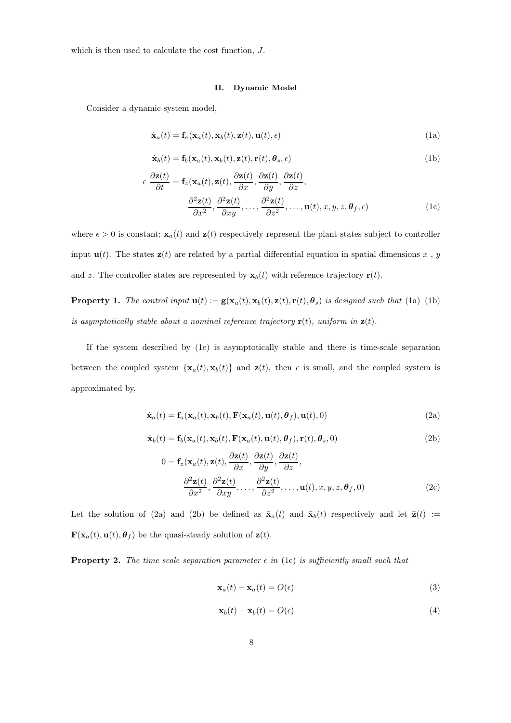which is then used to calculate the cost function, J.

#### II. Dynamic Model

Consider a dynamic system model,

$$
\dot{\mathbf{x}}_a(t) = \mathbf{f}_a(\mathbf{x}_a(t), \mathbf{x}_b(t), \mathbf{z}(t), \mathbf{u}(t), \epsilon)
$$
\n(1a)

$$
\dot{\mathbf{x}}_b(t) = \mathbf{f}_b(\mathbf{x}_a(t), \mathbf{x}_b(t), \mathbf{z}(t), \mathbf{r}(t), \boldsymbol{\theta}_s, \epsilon)
$$
\n(1b)

$$
\epsilon \frac{\partial \mathbf{z}(t)}{\partial t} = \mathbf{f}_z(\mathbf{x}_a(t), \mathbf{z}(t), \frac{\partial \mathbf{z}(t)}{\partial x}, \frac{\partial \mathbf{z}(t)}{\partial y}, \frac{\partial \mathbf{z}(t)}{\partial z},
$$

$$
\frac{\partial^2 \mathbf{z}(t)}{\partial x^2}, \frac{\partial^2 \mathbf{z}(t)}{\partial xy}, \dots, \frac{\partial^2 \mathbf{z}(t)}{\partial z^2}, \dots, \mathbf{u}(t), x, y, z, \theta_f, \epsilon)
$$
(1c)

where  $\epsilon > 0$  is constant;  $\mathbf{x}_a(t)$  and  $\mathbf{z}(t)$  respectively represent the plant states subject to controller input  $\mathbf{u}(t)$ . The states  $\mathbf{z}(t)$  are related by a partial differential equation in spatial dimensions x, y and z. The controller states are represented by  $\mathbf{x}_b(t)$  with reference trajectory  $\mathbf{r}(t)$ .

**Property 1.** The control input  $\mathbf{u}(t) := \mathbf{g}(\mathbf{x}_a(t), \mathbf{x}_b(t), \mathbf{z}(t), \mathbf{r}(t), \boldsymbol{\theta}_s)$  is designed such that (1a)–(1b) is asymptotically stable about a nominal reference trajectory  $\mathbf{r}(t)$ , uniform in  $\mathbf{z}(t)$ .

If the system described by (1c) is asymptotically stable and there is time-scale separation between the coupled system  $\{x_a(t), x_b(t)\}\$  and  $z(t)$ , then  $\epsilon$  is small, and the coupled system is approximated by,

$$
\dot{\mathbf{x}}_a(t) = \mathbf{f}_a(\mathbf{x}_a(t), \mathbf{x}_b(t), \mathbf{F}(\mathbf{x}_a(t), \mathbf{u}(t), \boldsymbol{\theta}_f), \mathbf{u}(t), 0)
$$
\n(2a)

$$
\dot{\mathbf{x}}_b(t) = \mathbf{f}_b(\mathbf{x}_a(t), \mathbf{x}_b(t), \mathbf{F}(\mathbf{x}_a(t), \mathbf{u}(t), \boldsymbol{\theta}_f), \mathbf{r}(t), \boldsymbol{\theta}_s, 0)
$$
\n(2b)

$$
0 = \mathbf{f}_z(\mathbf{x}_a(t), \mathbf{z}(t), \frac{\partial \mathbf{z}(t)}{\partial x}, \frac{\partial \mathbf{z}(t)}{\partial y}, \frac{\partial \mathbf{z}(t)}{\partial z},
$$

$$
\frac{\partial^2 \mathbf{z}(t)}{\partial x^2}, \frac{\partial^2 \mathbf{z}(t)}{\partial xy}, \dots, \frac{\partial^2 \mathbf{z}(t)}{\partial z^2}, \dots, \mathbf{u}(t), x, y, z, \theta_f, 0)
$$
(2c)

Let the solution of (2a) and (2b) be defined as  $\bar{\mathbf{x}}_a(t)$  and  $\bar{\mathbf{x}}_b(t)$  respectively and let  $\bar{\mathbf{z}}(t) :=$  $\mathbf{F}(\bar{\mathbf{x}}_a(t), \mathbf{u}(t), \theta_f)$  be the quasi-steady solution of  $\mathbf{z}(t)$ .

**Property 2.** The time scale separation parameter  $\epsilon$  in (1c) is sufficiently small such that

$$
\mathbf{x}_a(t) - \bar{\mathbf{x}}_a(t) = O(\epsilon) \tag{3}
$$

$$
\mathbf{x}_b(t) - \bar{\mathbf{x}}_b(t) = O(\epsilon) \tag{4}
$$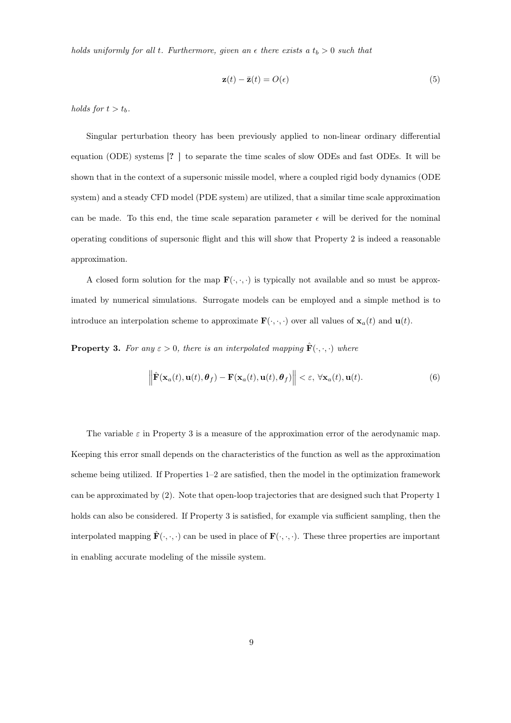holds uniformly for all t. Furthermore, given an  $\epsilon$  there exists a  $t_b > 0$  such that

$$
\mathbf{z}(t) - \bar{\mathbf{z}}(t) = O(\epsilon) \tag{5}
$$

holds for  $t > t_b$ .

Singular perturbation theory has been previously applied to non-linear ordinary differential equation (ODE) systems [? ] to separate the time scales of slow ODEs and fast ODEs. It will be shown that in the context of a supersonic missile model, where a coupled rigid body dynamics (ODE system) and a steady CFD model (PDE system) are utilized, that a similar time scale approximation can be made. To this end, the time scale separation parameter  $\epsilon$  will be derived for the nominal operating conditions of supersonic flight and this will show that Property 2 is indeed a reasonable approximation.

A closed form solution for the map  $\mathbf{F}(\cdot,\cdot,\cdot)$  is typically not available and so must be approximated by numerical simulations. Surrogate models can be employed and a simple method is to introduce an interpolation scheme to approximate  $\mathbf{F}(\cdot,\cdot,\cdot)$  over all values of  $\mathbf{x}_a(t)$  and  $\mathbf{u}(t)$ .

**Property 3.** For any  $\varepsilon > 0$ , there is an interpolated mapping  $\mathbf{F}(\cdot, \cdot, \cdot)$  where

$$
\left\|\hat{\mathbf{F}}(\mathbf{x}_a(t), \mathbf{u}(t), \boldsymbol{\theta}_f) - \mathbf{F}(\mathbf{x}_a(t), \mathbf{u}(t), \boldsymbol{\theta}_f)\right\| < \varepsilon, \ \forall \mathbf{x}_a(t), \mathbf{u}(t).
$$
 (6)

The variable  $\varepsilon$  in Property 3 is a measure of the approximation error of the aerodynamic map. Keeping this error small depends on the characteristics of the function as well as the approximation scheme being utilized. If Properties 1–2 are satisfied, then the model in the optimization framework can be approximated by (2). Note that open-loop trajectories that are designed such that Property 1 holds can also be considered. If Property 3 is satisfied, for example via sufficient sampling, then the interpolated mapping  $\mathbf{F}(\cdot, \cdot, \cdot)$  can be used in place of  $\mathbf{F}(\cdot, \cdot, \cdot)$ . These three properties are important in enabling accurate modeling of the missile system.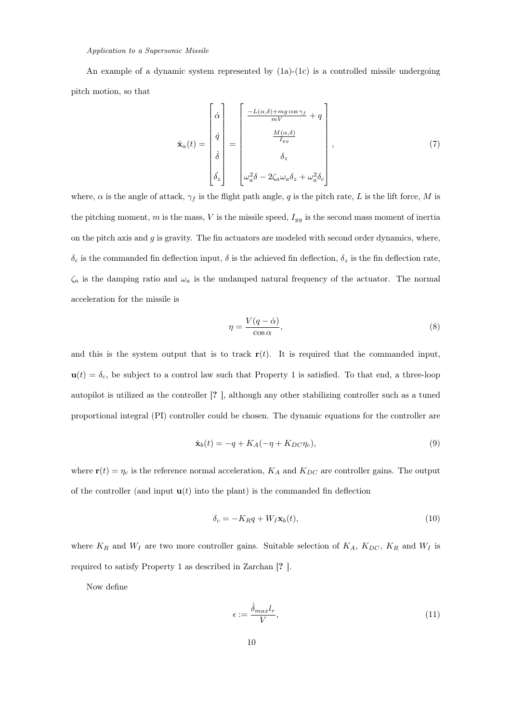## Application to a Supersonic Missile

An example of a dynamic system represented by  $(1a)-(1c)$  is a controlled missile undergoing pitch motion, so that

$$
\dot{\mathbf{x}}_{a}(t) = \begin{bmatrix} \dot{\alpha} \\ \dot{q} \\ \dot{\delta} \\ \dot{\delta} \\ \dot{\delta} \\ \dot{\delta} \end{bmatrix} = \begin{bmatrix} \frac{-L(\alpha,\delta) + mg\cos\gamma_{f}}{mV} + q \\ \frac{M(\alpha,\delta)}{I_{yy}} \\ \delta_{z} \\ \omega_{a}^{2}\delta - 2\zeta_{a}\omega_{a}\delta_{z} + \omega_{a}^{2}\delta_{c} \end{bmatrix},
$$
\n(7)

where,  $\alpha$  is the angle of attack,  $\gamma_f$  is the flight path angle, q is the pitch rate, L is the lift force, M is the pitching moment,  $m$  is the mass,  $V$  is the missile speed,  $I_{yy}$  is the second mass moment of inertia on the pitch axis and  $g$  is gravity. The fin actuators are modeled with second order dynamics, where,  $\delta_c$  is the commanded fin deflection input,  $\delta$  is the achieved fin deflection,  $\delta_z$  is the fin deflection rate,  $\zeta_a$  is the damping ratio and  $\omega_a$  is the undamped natural frequency of the actuator. The normal acceleration for the missile is

$$
\eta = \frac{V(q - \dot{\alpha})}{\cos \alpha},\tag{8}
$$

and this is the system output that is to track  $r(t)$ . It is required that the commanded input,  $u(t) = \delta_c$ , be subject to a control law such that Property 1 is satisfied. To that end, a three-loop autopilot is utilized as the controller [? ], although any other stabilizing controller such as a tuned proportional integral (PI) controller could be chosen. The dynamic equations for the controller are

$$
\dot{\mathbf{x}}_b(t) = -q + K_A(-\eta + K_{DC}\eta_c),\tag{9}
$$

where  $\mathbf{r}(t) = \eta_c$  is the reference normal acceleration,  $K_A$  and  $K_{DC}$  are controller gains. The output of the controller (and input  $\mathbf{u}(t)$  into the plant) is the commanded fin deflection

$$
\delta_c = -K_R q + W_I \mathbf{x}_b(t),\tag{10}
$$

where  $K_R$  and  $W_I$  are two more controller gains. Suitable selection of  $K_A$ ,  $K_{DC}$ ,  $K_R$  and  $W_I$  is required to satisfy Property 1 as described in Zarchan [? ].

Now define

$$
\epsilon := \frac{\dot{\delta}_{max} l_r}{V},\tag{11}
$$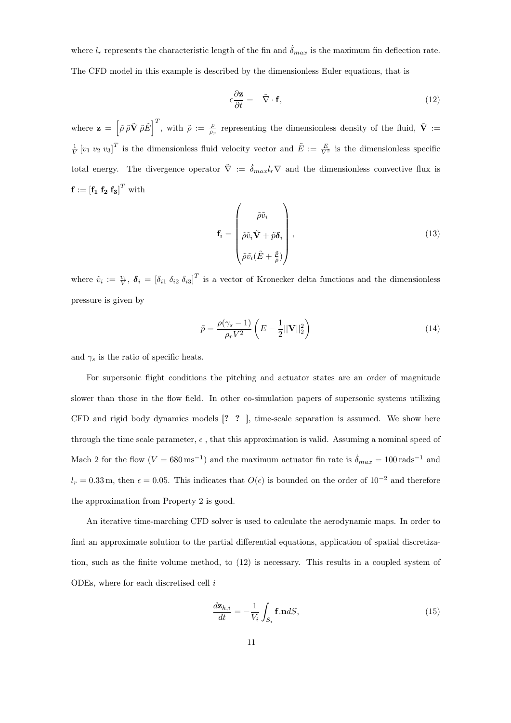where  $l_r$  represents the characteristic length of the fin and  $\delta_{max}$  is the maximum fin deflection rate. The CFD model in this example is described by the dimensionless Euler equations, that is

$$
\epsilon \frac{\partial \mathbf{z}}{\partial t} = -\tilde{\nabla} \cdot \mathbf{f},\tag{12}
$$

where  $\mathbf{z} = \left[ \tilde{\rho} \tilde{\rho} \tilde{\mathbf{V}} \tilde{\rho} \tilde{E} \right]^T$ , with  $\tilde{\rho} := \frac{\rho}{\rho_r}$  representing the dimensionless density of the fluid,  $\tilde{\mathbf{V}} :=$  $\frac{1}{V} [v_1 \, v_2 \, v_3]^T$  is the dimensionless fluid velocity vector and  $\tilde{E} := \frac{E}{V^2}$  is the dimensionless specific total energy. The divergence operator  $\tilde{\nabla} := \dot{\delta}_{max} l_r \nabla$  and the dimensionless convective flux is  $\mathbf{f} := \left[\mathbf{f_1} \ \mathbf{f_2} \ \mathbf{f_3}\right]^T \text{ with}$ 

$$
\mathbf{f}_{i} = \begin{pmatrix} \tilde{\rho}\tilde{v}_{i} \\ \tilde{\rho}\tilde{v}_{i}\tilde{\mathbf{V}} + \tilde{p}\boldsymbol{\delta}_{i} \\ \tilde{\rho}\tilde{v}_{i}(\tilde{E} + \frac{\tilde{p}}{\tilde{\rho}}) \end{pmatrix},
$$
\n(13)

where  $\tilde{v}_i := \frac{v_i}{V}, \ \boldsymbol{\delta}_i = [\delta_{i1} \ \delta_{i2} \ \delta_{i3}]^T$  is a vector of Kronecker delta functions and the dimensionless pressure is given by

$$
\tilde{p} = \frac{\rho(\gamma_s - 1)}{\rho_r V^2} \left( E - \frac{1}{2} ||\mathbf{V}||_2^2 \right) \tag{14}
$$

and  $\gamma_s$  is the ratio of specific heats.

For supersonic flight conditions the pitching and actuator states are an order of magnitude slower than those in the flow field. In other co-simulation papers of supersonic systems utilizing CFD and rigid body dynamics models [? ? ], time-scale separation is assumed. We show here through the time scale parameter,  $\epsilon$ , that this approximation is valid. Assuming a nominal speed of Mach 2 for the flow  $(V = 680 \text{ ms}^{-1})$  and the maximum actuator fin rate is  $\dot{\delta}_{max} = 100 \text{ rad s}^{-1}$  and  $l_r = 0.33$  m, then  $\epsilon = 0.05$ . This indicates that  $O(\epsilon)$  is bounded on the order of  $10^{-2}$  and therefore the approximation from Property 2 is good.

An iterative time-marching CFD solver is used to calculate the aerodynamic maps. In order to find an approximate solution to the partial differential equations, application of spatial discretization, such as the finite volume method, to (12) is necessary. This results in a coupled system of ODEs, where for each discretised cell i

$$
\frac{d\mathbf{z}_{h,i}}{dt} = -\frac{1}{V_i} \int_{S_i} \mathbf{f} \cdot \mathbf{n} dS,\tag{15}
$$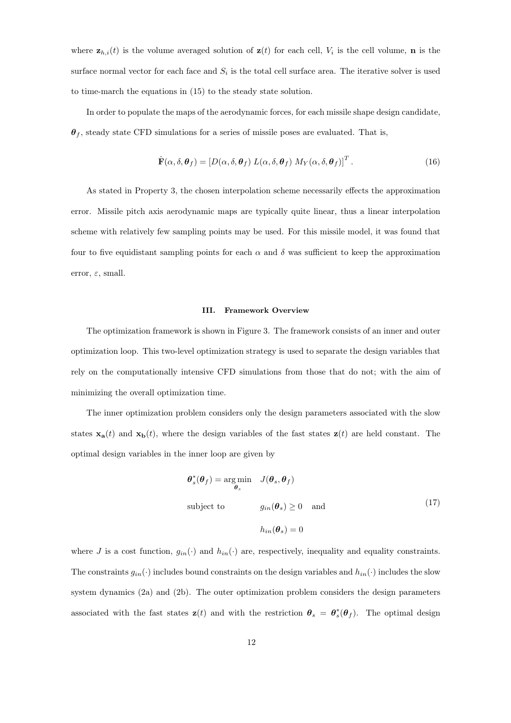where  $\mathbf{z}_{h,i}(t)$  is the volume averaged solution of  $\mathbf{z}(t)$  for each cell,  $V_i$  is the cell volume, **n** is the surface normal vector for each face and  $S_i$  is the total cell surface area. The iterative solver is used to time-march the equations in (15) to the steady state solution.

In order to populate the maps of the aerodynamic forces, for each missile shape design candidate,  $\theta_f$ , steady state CFD simulations for a series of missile poses are evaluated. That is,

$$
\hat{\mathbf{F}}(\alpha, \delta, \boldsymbol{\theta}_f) = [D(\alpha, \delta, \boldsymbol{\theta}_f) \ L(\alpha, \delta, \boldsymbol{\theta}_f) \ M_Y(\alpha, \delta, \boldsymbol{\theta}_f)]^T. \tag{16}
$$

As stated in Property 3, the chosen interpolation scheme necessarily effects the approximation error. Missile pitch axis aerodynamic maps are typically quite linear, thus a linear interpolation scheme with relatively few sampling points may be used. For this missile model, it was found that four to five equidistant sampling points for each  $\alpha$  and  $\delta$  was sufficient to keep the approximation error,  $\varepsilon$ , small.

#### III. Framework Overview

The optimization framework is shown in Figure 3. The framework consists of an inner and outer optimization loop. This two-level optimization strategy is used to separate the design variables that rely on the computationally intensive CFD simulations from those that do not; with the aim of minimizing the overall optimization time.

The inner optimization problem considers only the design parameters associated with the slow states  $\mathbf{x}_a(t)$  and  $\mathbf{x}_b(t)$ , where the design variables of the fast states  $\mathbf{z}(t)$  are held constant. The optimal design variables in the inner loop are given by

$$
\theta_s^*(\theta_f) = \underset{\theta_s}{\text{arg min}} \quad J(\theta_s, \theta_f)
$$
  
subject to 
$$
g_{in}(\theta_s) \ge 0 \quad \text{and}
$$

$$
h_{in}(\theta_s) = 0
$$
 (17)

where J is a cost function,  $g_{in}(\cdot)$  and  $h_{in}(\cdot)$  are, respectively, inequality and equality constraints. The constraints  $g_{in}(\cdot)$  includes bound constraints on the design variables and  $h_{in}(\cdot)$  includes the slow system dynamics (2a) and (2b). The outer optimization problem considers the design parameters associated with the fast states  $\mathbf{z}(t)$  and with the restriction  $\theta_s = \theta_s^*(\theta_f)$ . The optimal design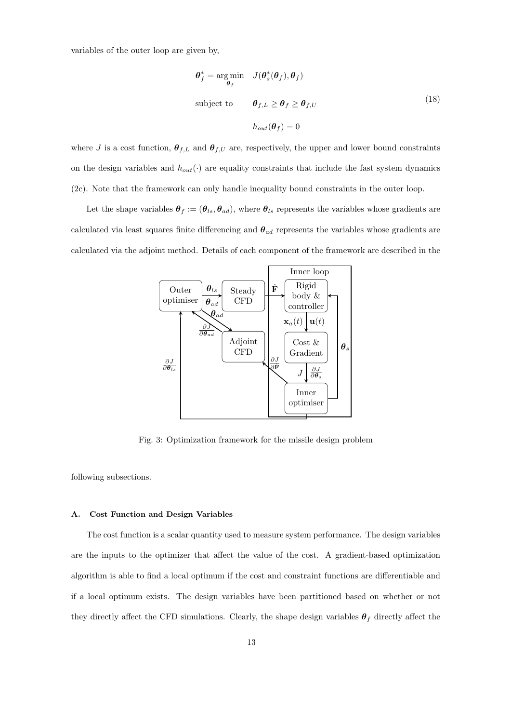variables of the outer loop are given by,

$$
\theta_f^* = \underset{\theta_f}{\arg \min} \quad J(\theta_s^*(\theta_f), \theta_f)
$$
  
subject to 
$$
\theta_{f,L} \ge \theta_f \ge \theta_{f,U}
$$

$$
h_{out}(\theta_f) = 0
$$
 (18)

where J is a cost function,  $\theta_{f,L}$  and  $\theta_{f,U}$  are, respectively, the upper and lower bound constraints on the design variables and  $h_{out}(\cdot)$  are equality constraints that include the fast system dynamics (2c). Note that the framework can only handle inequality bound constraints in the outer loop.

Let the shape variables  $\theta_f := (\theta_{ls}, \theta_{ad})$ , where  $\theta_{ls}$  represents the variables whose gradients are calculated via least squares finite differencing and  $\theta_{ad}$  represents the variables whose gradients are calculated via the adjoint method. Details of each component of the framework are described in the



Fig. 3: Optimization framework for the missile design problem

following subsections.

#### A. Cost Function and Design Variables

The cost function is a scalar quantity used to measure system performance. The design variables are the inputs to the optimizer that affect the value of the cost. A gradient-based optimization algorithm is able to find a local optimum if the cost and constraint functions are differentiable and if a local optimum exists. The design variables have been partitioned based on whether or not they directly affect the CFD simulations. Clearly, the shape design variables  $\theta_f$  directly affect the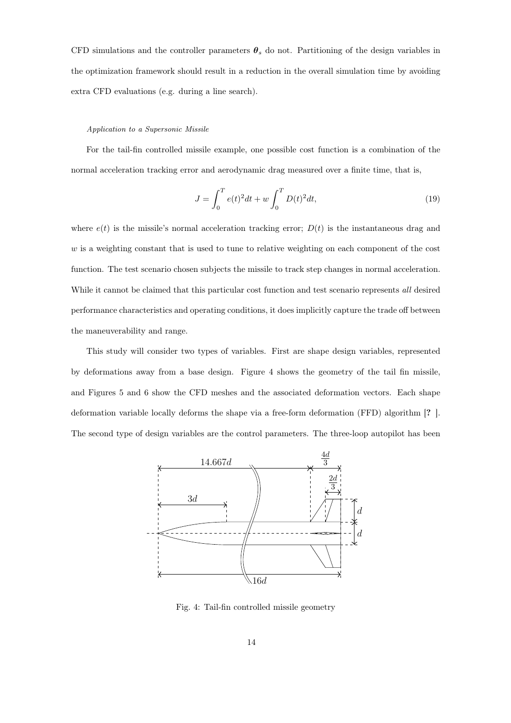CFD simulations and the controller parameters  $\theta_s$  do not. Partitioning of the design variables in the optimization framework should result in a reduction in the overall simulation time by avoiding extra CFD evaluations (e.g. during a line search).

#### Application to a Supersonic Missile

For the tail-fin controlled missile example, one possible cost function is a combination of the normal acceleration tracking error and aerodynamic drag measured over a finite time, that is,

$$
J = \int_0^T e(t)^2 dt + w \int_0^T D(t)^2 dt,
$$
\n(19)

where  $e(t)$  is the missile's normal acceleration tracking error;  $D(t)$  is the instantaneous drag and  $w$  is a weighting constant that is used to tune to relative weighting on each component of the cost function. The test scenario chosen subjects the missile to track step changes in normal acceleration. While it cannot be claimed that this particular cost function and test scenario represents all desired performance characteristics and operating conditions, it does implicitly capture the trade off between the maneuverability and range.

This study will consider two types of variables. First are shape design variables, represented by deformations away from a base design. Figure 4 shows the geometry of the tail fin missile, and Figures 5 and 6 show the CFD meshes and the associated deformation vectors. Each shape deformation variable locally deforms the shape via a free-form deformation (FFD) algorithm [? ]. The second type of design variables are the control parameters. The three-loop autopilot has been



Fig. 4: Tail-fin controlled missile geometry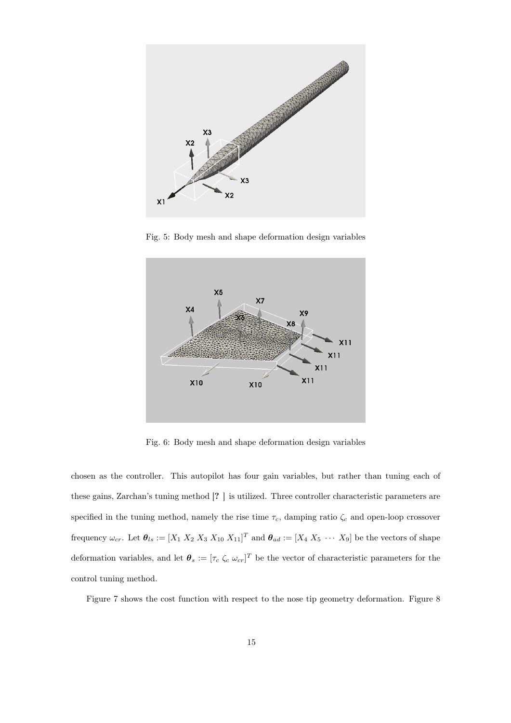

Fig. 5: Body mesh and shape deformation design variables



Fig. 6: Body mesh and shape deformation design variables

chosen as the controller. This autopilot has four gain variables, but rather than tuning each of these gains, Zarchan's tuning method [? ] is utilized. Three controller characteristic parameters are specified in the tuning method, namely the rise time  $\tau_c$ , damping ratio  $\zeta_c$  and open-loop crossover frequency  $\omega_{cr}$ . Let  $\theta_{ls} := [X_1 \ X_2 \ X_3 \ X_{10} \ X_{11}]^T$  and  $\theta_{ad} := [X_4 \ X_5 \ \cdots \ X_9]$  be the vectors of shape deformation variables, and let  $\theta_s := [\tau_c \zeta_c \omega_{cr}]^T$  be the vector of characteristic parameters for the control tuning method.

Figure 7 shows the cost function with respect to the nose tip geometry deformation. Figure 8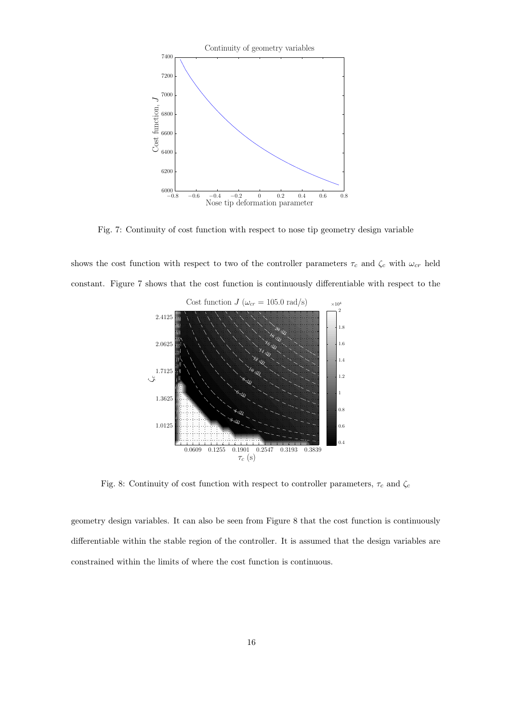

Fig. 7: Continuity of cost function with respect to nose tip geometry design variable

shows the cost function with respect to two of the controller parameters  $\tau_c$  and  $\zeta_c$  with  $\omega_{cr}$  held constant. Figure 7 shows that the cost function is continuously differentiable with respect to the



Fig. 8: Continuity of cost function with respect to controller parameters,  $\tau_c$  and  $\zeta_c$ 

geometry design variables. It can also be seen from Figure 8 that the cost function is continuously differentiable within the stable region of the controller. It is assumed that the design variables are constrained within the limits of where the cost function is continuous.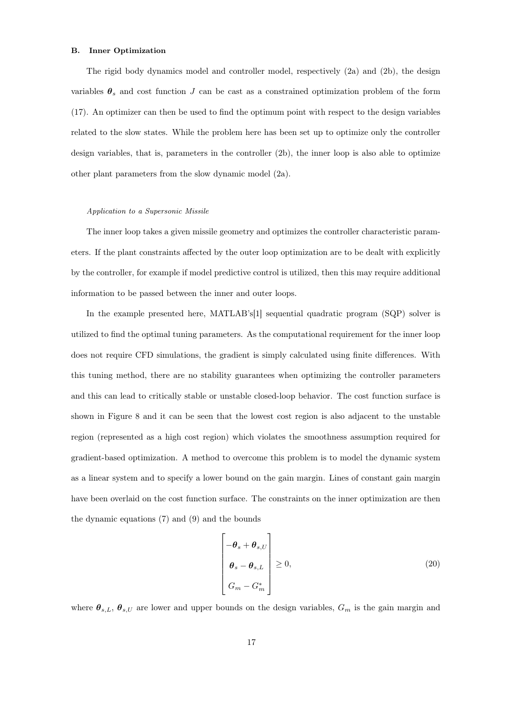## B. Inner Optimization

The rigid body dynamics model and controller model, respectively (2a) and (2b), the design variables  $\theta_s$  and cost function J can be cast as a constrained optimization problem of the form (17). An optimizer can then be used to find the optimum point with respect to the design variables related to the slow states. While the problem here has been set up to optimize only the controller design variables, that is, parameters in the controller (2b), the inner loop is also able to optimize other plant parameters from the slow dynamic model (2a).

#### Application to a Supersonic Missile

The inner loop takes a given missile geometry and optimizes the controller characteristic parameters. If the plant constraints affected by the outer loop optimization are to be dealt with explicitly by the controller, for example if model predictive control is utilized, then this may require additional information to be passed between the inner and outer loops.

In the example presented here, MATLAB's[1] sequential quadratic program (SQP) solver is utilized to find the optimal tuning parameters. As the computational requirement for the inner loop does not require CFD simulations, the gradient is simply calculated using finite differences. With this tuning method, there are no stability guarantees when optimizing the controller parameters and this can lead to critically stable or unstable closed-loop behavior. The cost function surface is shown in Figure 8 and it can be seen that the lowest cost region is also adjacent to the unstable region (represented as a high cost region) which violates the smoothness assumption required for gradient-based optimization. A method to overcome this problem is to model the dynamic system as a linear system and to specify a lower bound on the gain margin. Lines of constant gain margin have been overlaid on the cost function surface. The constraints on the inner optimization are then the dynamic equations (7) and (9) and the bounds

$$
\begin{bmatrix}\n-\theta_s + \theta_{s,U} \\
\theta_s - \theta_{s,L} \\
G_m - G_m^*\n\end{bmatrix} \geq 0,
$$
\n(20)

where  $\theta_{s,L}, \theta_{s,U}$  are lower and upper bounds on the design variables,  $G_m$  is the gain margin and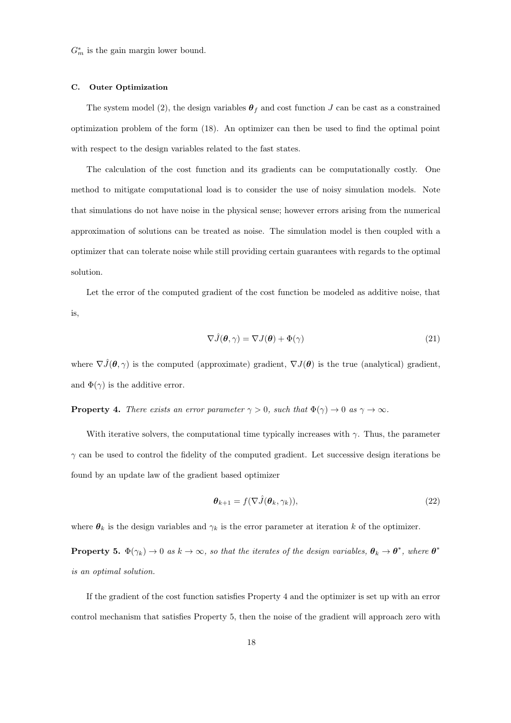$G_m^*$  is the gain margin lower bound.

### C. Outer Optimization

The system model (2), the design variables  $\theta_f$  and cost function J can be cast as a constrained optimization problem of the form (18). An optimizer can then be used to find the optimal point with respect to the design variables related to the fast states.

The calculation of the cost function and its gradients can be computationally costly. One method to mitigate computational load is to consider the use of noisy simulation models. Note that simulations do not have noise in the physical sense; however errors arising from the numerical approximation of solutions can be treated as noise. The simulation model is then coupled with a optimizer that can tolerate noise while still providing certain guarantees with regards to the optimal solution.

Let the error of the computed gradient of the cost function be modeled as additive noise, that is,

$$
\nabla \hat{J}(\boldsymbol{\theta}, \gamma) = \nabla J(\boldsymbol{\theta}) + \Phi(\gamma) \tag{21}
$$

where  $\nabla \hat{J}(\theta, \gamma)$  is the computed (approximate) gradient,  $\nabla J(\theta)$  is the true (analytical) gradient, and  $\Phi(\gamma)$  is the additive error.

**Property 4.** There exists an error parameter  $\gamma > 0$ , such that  $\Phi(\gamma) \to 0$  as  $\gamma \to \infty$ .

With iterative solvers, the computational time typically increases with  $\gamma$ . Thus, the parameter  $\gamma$  can be used to control the fidelity of the computed gradient. Let successive design iterations be found by an update law of the gradient based optimizer

$$
\boldsymbol{\theta}_{k+1} = f(\nabla \hat{J}(\boldsymbol{\theta}_k, \gamma_k)),
$$
\n(22)

where  $\theta_k$  is the design variables and  $\gamma_k$  is the error parameter at iteration k of the optimizer.

**Property 5.**  $\Phi(\gamma_k) \to 0$  as  $k \to \infty$ , so that the iterates of the design variables,  $\theta_k \to \theta^*$ , where  $\theta^*$ is an optimal solution.

If the gradient of the cost function satisfies Property 4 and the optimizer is set up with an error control mechanism that satisfies Property 5, then the noise of the gradient will approach zero with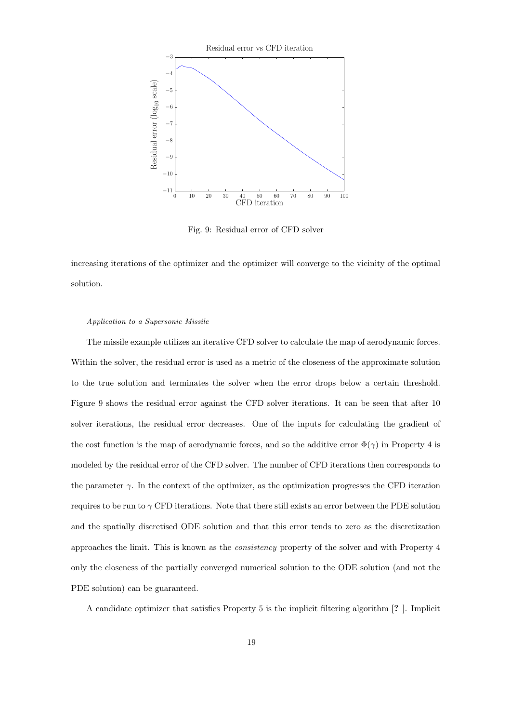

Fig. 9: Residual error of CFD solver

increasing iterations of the optimizer and the optimizer will converge to the vicinity of the optimal solution.

#### Application to a Supersonic Missile

The missile example utilizes an iterative CFD solver to calculate the map of aerodynamic forces. Within the solver, the residual error is used as a metric of the closeness of the approximate solution to the true solution and terminates the solver when the error drops below a certain threshold. Figure 9 shows the residual error against the CFD solver iterations. It can be seen that after 10 solver iterations, the residual error decreases. One of the inputs for calculating the gradient of the cost function is the map of aerodynamic forces, and so the additive error  $\Phi(\gamma)$  in Property 4 is modeled by the residual error of the CFD solver. The number of CFD iterations then corresponds to the parameter  $\gamma$ . In the context of the optimizer, as the optimization progresses the CFD iteration requires to be run to  $\gamma$  CFD iterations. Note that there still exists an error between the PDE solution and the spatially discretised ODE solution and that this error tends to zero as the discretization approaches the limit. This is known as the consistency property of the solver and with Property 4 only the closeness of the partially converged numerical solution to the ODE solution (and not the PDE solution) can be guaranteed.

A candidate optimizer that satisfies Property 5 is the implicit filtering algorithm [? ]. Implicit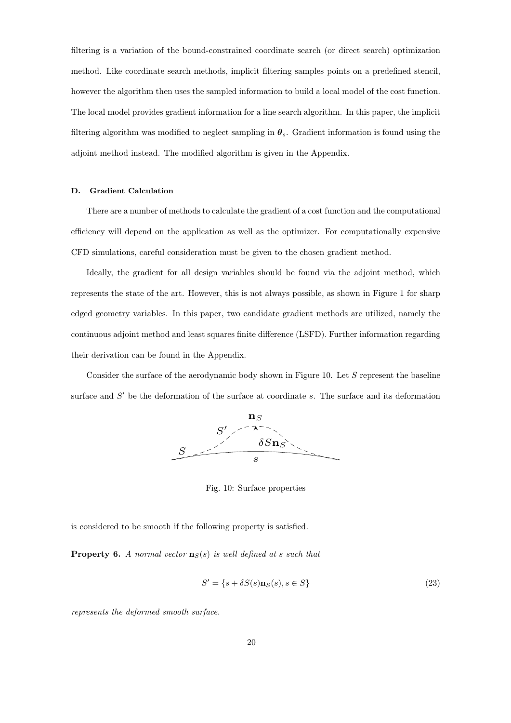filtering is a variation of the bound-constrained coordinate search (or direct search) optimization method. Like coordinate search methods, implicit filtering samples points on a predefined stencil, however the algorithm then uses the sampled information to build a local model of the cost function. The local model provides gradient information for a line search algorithm. In this paper, the implicit filtering algorithm was modified to neglect sampling in  $\theta_s$ . Gradient information is found using the adjoint method instead. The modified algorithm is given in the Appendix.

## D. Gradient Calculation

There are a number of methods to calculate the gradient of a cost function and the computational efficiency will depend on the application as well as the optimizer. For computationally expensive CFD simulations, careful consideration must be given to the chosen gradient method.

Ideally, the gradient for all design variables should be found via the adjoint method, which represents the state of the art. However, this is not always possible, as shown in Figure 1 for sharp edged geometry variables. In this paper, two candidate gradient methods are utilized, namely the continuous adjoint method and least squares finite difference (LSFD). Further information regarding their derivation can be found in the Appendix.

Consider the surface of the aerodynamic body shown in Figure 10. Let S represent the baseline surface and  $S'$  be the deformation of the surface at coordinate s. The surface and its deformation



Fig. 10: Surface properties

is considered to be smooth if the following property is satisfied.

**Property 6.** A normal vector  $\mathbf{n}_S(s)$  is well defined at s such that

$$
S' = \{s + \delta S(s) \mathbf{n}_S(s), s \in S\}
$$
\n
$$
(23)
$$

represents the deformed smooth surface.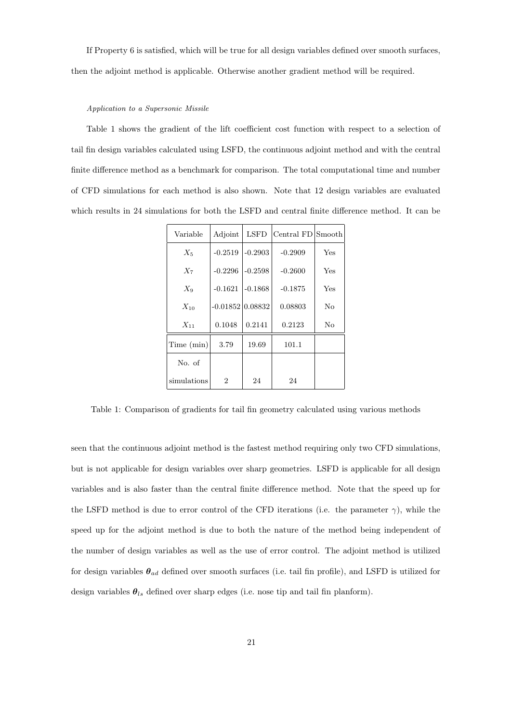If Property 6 is satisfied, which will be true for all design variables defined over smooth surfaces, then the adjoint method is applicable. Otherwise another gradient method will be required.

## Application to a Supersonic Missile

Table 1 shows the gradient of the lift coefficient cost function with respect to a selection of tail fin design variables calculated using LSFD, the continuous adjoint method and with the central finite difference method as a benchmark for comparison. The total computational time and number of CFD simulations for each method is also shown. Note that 12 design variables are evaluated which results in 24 simulations for both the LSFD and central finite difference method. It can be

| Variable    | Adjoint            | <b>LSFD</b> | Central FD Smooth |     |
|-------------|--------------------|-------------|-------------------|-----|
| $X_5$       | $-0.2519$          | $-0.2903$   | $-0.2909$         | Yes |
| $X_7$       | $-0.2296$          | $-0.2598$   | $-0.2600$         | Yes |
| $X_9$       | $-0.1621$          | $-0.1868$   | $-0.1875$         | Yes |
| $X_{10}$    | $-0.01852 0.08832$ |             | 0.08803           | No  |
| $X_{11}$    | 0.1048             | 0.2141      | 0.2123            | No  |
| Time (min)  | 3.79               | 19.69       | 101.1             |     |
| No. of      |                    |             |                   |     |
| simulations | $\overline{2}$     | 24          | 24                |     |

Table 1: Comparison of gradients for tail fin geometry calculated using various methods

seen that the continuous adjoint method is the fastest method requiring only two CFD simulations, but is not applicable for design variables over sharp geometries. LSFD is applicable for all design variables and is also faster than the central finite difference method. Note that the speed up for the LSFD method is due to error control of the CFD iterations (i.e. the parameter  $\gamma$ ), while the speed up for the adjoint method is due to both the nature of the method being independent of the number of design variables as well as the use of error control. The adjoint method is utilized for design variables  $\theta_{ad}$  defined over smooth surfaces (i.e. tail fin profile), and LSFD is utilized for design variables  $\theta_{ls}$  defined over sharp edges (i.e. nose tip and tail fin planform).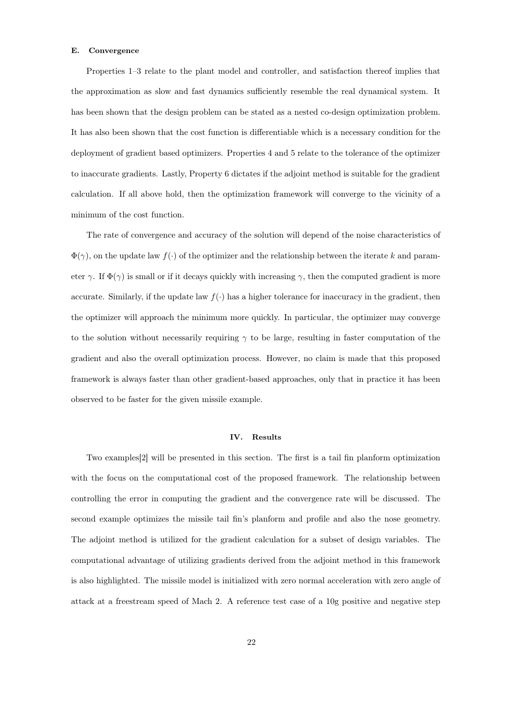## E. Convergence

Properties 1–3 relate to the plant model and controller, and satisfaction thereof implies that the approximation as slow and fast dynamics sufficiently resemble the real dynamical system. It has been shown that the design problem can be stated as a nested co-design optimization problem. It has also been shown that the cost function is differentiable which is a necessary condition for the deployment of gradient based optimizers. Properties 4 and 5 relate to the tolerance of the optimizer to inaccurate gradients. Lastly, Property 6 dictates if the adjoint method is suitable for the gradient calculation. If all above hold, then the optimization framework will converge to the vicinity of a minimum of the cost function.

The rate of convergence and accuracy of the solution will depend of the noise characteristics of  $\Phi(\gamma)$ , on the update law  $f(\cdot)$  of the optimizer and the relationship between the iterate k and parameter  $\gamma$ . If  $\Phi(\gamma)$  is small or if it decays quickly with increasing  $\gamma$ , then the computed gradient is more accurate. Similarly, if the update law  $f(\cdot)$  has a higher tolerance for inaccuracy in the gradient, then the optimizer will approach the minimum more quickly. In particular, the optimizer may converge to the solution without necessarily requiring  $\gamma$  to be large, resulting in faster computation of the gradient and also the overall optimization process. However, no claim is made that this proposed framework is always faster than other gradient-based approaches, only that in practice it has been observed to be faster for the given missile example.

## IV. Results

Two examples[2] will be presented in this section. The first is a tail fin planform optimization with the focus on the computational cost of the proposed framework. The relationship between controlling the error in computing the gradient and the convergence rate will be discussed. The second example optimizes the missile tail fin's planform and profile and also the nose geometry. The adjoint method is utilized for the gradient calculation for a subset of design variables. The computational advantage of utilizing gradients derived from the adjoint method in this framework is also highlighted. The missile model is initialized with zero normal acceleration with zero angle of attack at a freestream speed of Mach 2. A reference test case of a 10g positive and negative step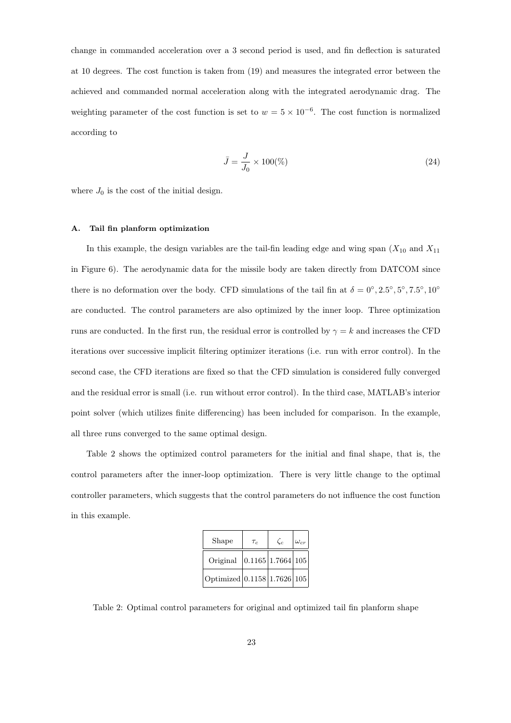change in commanded acceleration over a 3 second period is used, and fin deflection is saturated at 10 degrees. The cost function is taken from (19) and measures the integrated error between the achieved and commanded normal acceleration along with the integrated aerodynamic drag. The weighting parameter of the cost function is set to  $w = 5 \times 10^{-6}$ . The cost function is normalized according to

$$
\bar{J} = \frac{J}{J_0} \times 100\% \tag{24}
$$

where  $J_0$  is the cost of the initial design.

#### A. Tail fin planform optimization

In this example, the design variables are the tail-fin leading edge and wing span  $(X_{10}$  and  $X_{11}$ in Figure 6). The aerodynamic data for the missile body are taken directly from DATCOM since there is no deformation over the body. CFD simulations of the tail fin at  $\delta = 0^{\circ}, 2.5^{\circ}, 5^{\circ}, 7.5^{\circ}, 10^{\circ}$ are conducted. The control parameters are also optimized by the inner loop. Three optimization runs are conducted. In the first run, the residual error is controlled by  $\gamma = k$  and increases the CFD iterations over successive implicit filtering optimizer iterations (i.e. run with error control). In the second case, the CFD iterations are fixed so that the CFD simulation is considered fully converged and the residual error is small (i.e. run without error control). In the third case, MATLAB's interior point solver (which utilizes finite differencing) has been included for comparison. In the example, all three runs converged to the same optimal design.

Table 2 shows the optimized control parameters for the initial and final shape, that is, the control parameters after the inner-loop optimization. There is very little change to the optimal controller parameters, which suggests that the control parameters do not influence the cost function in this example.

| Shape                       | $\tau_c$                                          | $\zeta_c$ | $\omega_{cr}$ |
|-----------------------------|---------------------------------------------------|-----------|---------------|
| Original                    | $\left  0.1165 \right  1.7664 \left  105 \right $ |           |               |
| Optimized 0.1158 1.7626 105 |                                                   |           |               |

Table 2: Optimal control parameters for original and optimized tail fin planform shape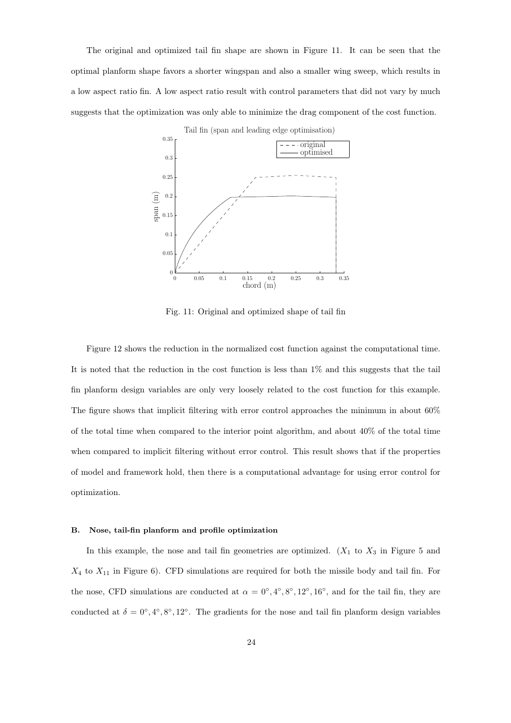The original and optimized tail fin shape are shown in Figure 11. It can be seen that the optimal planform shape favors a shorter wingspan and also a smaller wing sweep, which results in a low aspect ratio fin. A low aspect ratio result with control parameters that did not vary by much suggests that the optimization was only able to minimize the drag component of the cost function.



Fig. 11: Original and optimized shape of tail fin

Figure 12 shows the reduction in the normalized cost function against the computational time. It is noted that the reduction in the cost function is less than 1% and this suggests that the tail fin planform design variables are only very loosely related to the cost function for this example. The figure shows that implicit filtering with error control approaches the minimum in about 60% of the total time when compared to the interior point algorithm, and about  $40\%$  of the total time when compared to implicit filtering without error control. This result shows that if the properties of model and framework hold, then there is a computational advantage for using error control for optimization.

#### B. Nose, tail-fin planform and profile optimization

In this example, the nose and tail fin geometries are optimized.  $(X_1$  to  $X_3$  in Figure 5 and  $X_4$  to  $X_{11}$  in Figure 6). CFD simulations are required for both the missile body and tail fin. For the nose, CFD simulations are conducted at  $\alpha = 0^{\circ}, 4^{\circ}, 8^{\circ}, 12^{\circ}, 16^{\circ}$ , and for the tail fin, they are conducted at  $\delta = 0^{\circ}, 4^{\circ}, 8^{\circ}, 12^{\circ}$ . The gradients for the nose and tail fin planform design variables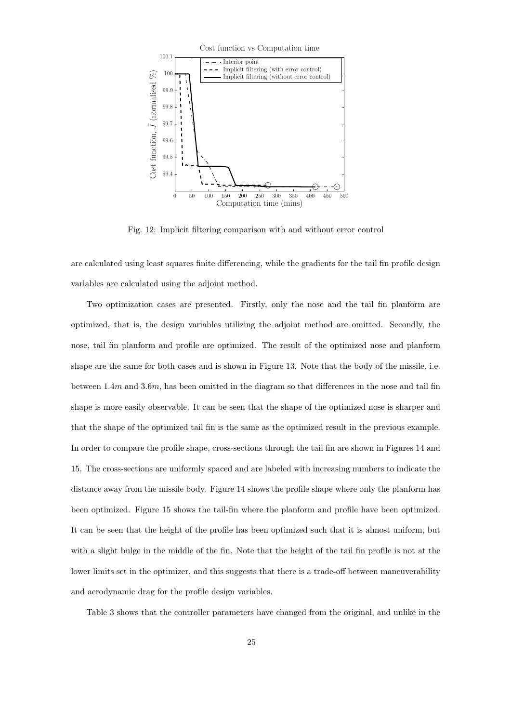

Fig. 12: Implicit filtering comparison with and without error control

are calculated using least squares finite differencing, while the gradients for the tail fin profile design variables are calculated using the adjoint method.

Two optimization cases are presented. Firstly, only the nose and the tail fin planform are optimized, that is, the design variables utilizing the adjoint method are omitted. Secondly, the nose, tail fin planform and profile are optimized. The result of the optimized nose and planform shape are the same for both cases and is shown in Figure 13. Note that the body of the missile, i.e. between  $1.4m$  and  $3.6m$ , has been omitted in the diagram so that differences in the nose and tail fin shape is more easily observable. It can be seen that the shape of the optimized nose is sharper and that the shape of the optimized tail fin is the same as the optimized result in the previous example. In order to compare the profile shape, cross-sections through the tail fin are shown in Figures 14 and 15. The cross-sections are uniformly spaced and are labeled with increasing numbers to indicate the distance away from the missile body. Figure 14 shows the profile shape where only the planform has been optimized. Figure 15 shows the tail-fin where the planform and profile have been optimized. It can be seen that the height of the profile has been optimized such that it is almost uniform, but with a slight bulge in the middle of the fin. Note that the height of the tail fin profile is not at the lower limits set in the optimizer, and this suggests that there is a trade-off between maneuverability and aerodynamic drag for the profile design variables.

Table 3 shows that the controller parameters have changed from the original, and unlike in the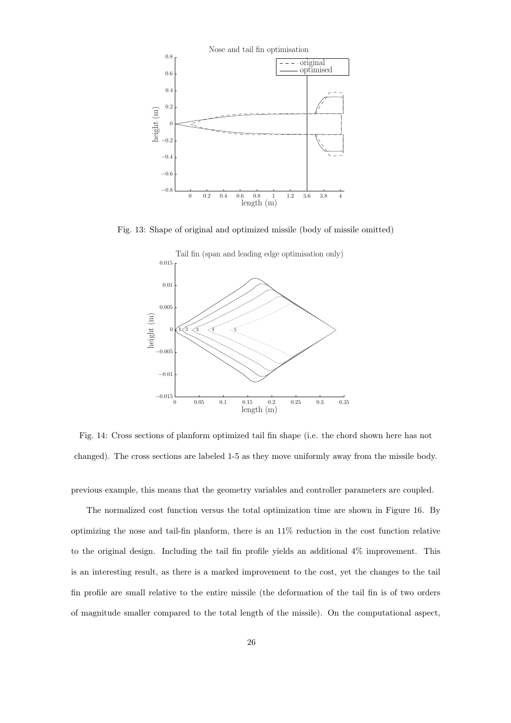

Fig. 13: Shape of original and optimized missile (body of missile omitted)



Fig. 14: Cross sections of planform optimized tail fin shape (i.e. the chord shown here has not changed). The cross sections are labeled 1-5 as they move uniformly away from the missile body.

previous example, this means that the geometry variables and controller parameters are coupled.

The normalized cost function versus the total optimization time are shown in Figure 16. By optimizing the nose and tail-fin planform, there is an 11% reduction in the cost function relative to the original design. Including the tail fin profile yields an additional 4% improvement. This is an interesting result, as there is a marked improvement to the cost, yet the changes to the tail fin profile are small relative to the entire missile (the deformation of the tail fin is of two orders of magnitude smaller compared to the total length of the missile). On the computational aspect,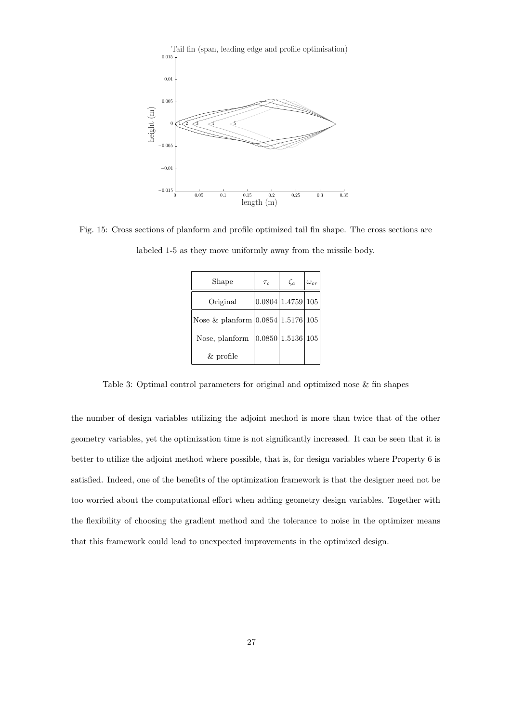

Fig. 15: Cross sections of planform and profile optimized tail fin shape. The cross sections are labeled 1-5 as they move uniformly away from the missile body.

| Shape                               | $\tau_c$          | $\zeta_c$         | $\omega_{cr}$ |
|-------------------------------------|-------------------|-------------------|---------------|
| Original                            |                   | 0.0804 1.4759 105 |               |
| Nose & planform $0.0854 1.5176 105$ |                   |                   |               |
| Nose, planform                      | 0.0850 1.5136 105 |                   |               |
| $&$ profile                         |                   |                   |               |

Table 3: Optimal control parameters for original and optimized nose & fin shapes

the number of design variables utilizing the adjoint method is more than twice that of the other geometry variables, yet the optimization time is not significantly increased. It can be seen that it is better to utilize the adjoint method where possible, that is, for design variables where Property 6 is satisfied. Indeed, one of the benefits of the optimization framework is that the designer need not be too worried about the computational effort when adding geometry design variables. Together with the flexibility of choosing the gradient method and the tolerance to noise in the optimizer means that this framework could lead to unexpected improvements in the optimized design.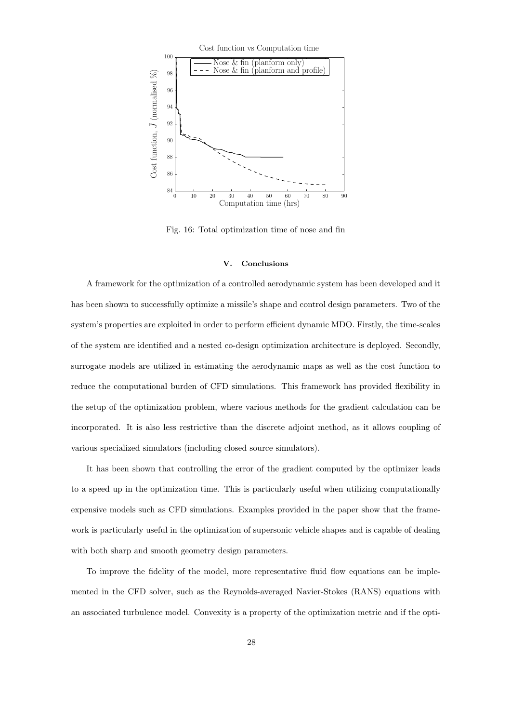

Fig. 16: Total optimization time of nose and fin

#### V. Conclusions

A framework for the optimization of a controlled aerodynamic system has been developed and it has been shown to successfully optimize a missile's shape and control design parameters. Two of the system's properties are exploited in order to perform efficient dynamic MDO. Firstly, the time-scales of the system are identified and a nested co-design optimization architecture is deployed. Secondly, surrogate models are utilized in estimating the aerodynamic maps as well as the cost function to reduce the computational burden of CFD simulations. This framework has provided flexibility in the setup of the optimization problem, where various methods for the gradient calculation can be incorporated. It is also less restrictive than the discrete adjoint method, as it allows coupling of various specialized simulators (including closed source simulators).

It has been shown that controlling the error of the gradient computed by the optimizer leads to a speed up in the optimization time. This is particularly useful when utilizing computationally expensive models such as CFD simulations. Examples provided in the paper show that the framework is particularly useful in the optimization of supersonic vehicle shapes and is capable of dealing with both sharp and smooth geometry design parameters.

To improve the fidelity of the model, more representative fluid flow equations can be implemented in the CFD solver, such as the Reynolds-averaged Navier-Stokes (RANS) equations with an associated turbulence model. Convexity is a property of the optimization metric and if the opti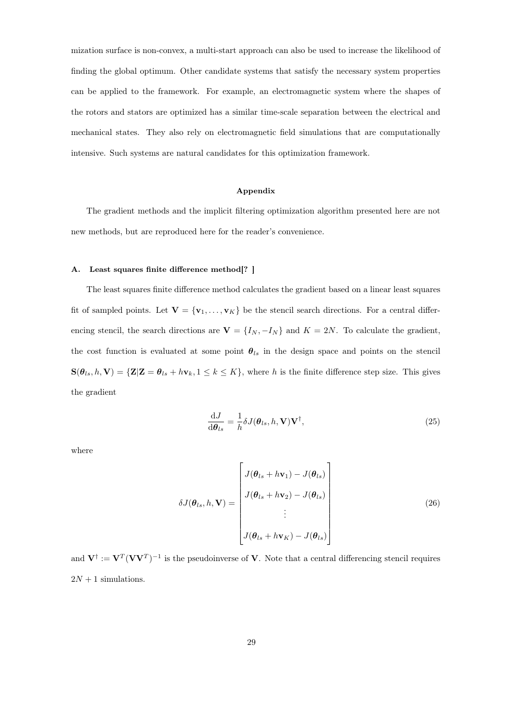mization surface is non-convex, a multi-start approach can also be used to increase the likelihood of finding the global optimum. Other candidate systems that satisfy the necessary system properties can be applied to the framework. For example, an electromagnetic system where the shapes of the rotors and stators are optimized has a similar time-scale separation between the electrical and mechanical states. They also rely on electromagnetic field simulations that are computationally intensive. Such systems are natural candidates for this optimization framework.

#### Appendix

The gradient methods and the implicit filtering optimization algorithm presented here are not new methods, but are reproduced here for the reader's convenience.

## A. Least squares finite difference method[? ]

The least squares finite difference method calculates the gradient based on a linear least squares fit of sampled points. Let  $V = \{v_1, \ldots, v_K\}$  be the stencil search directions. For a central differencing stencil, the search directions are  $\mathbf{V} = \{I_N, -I_N\}$  and  $K = 2N$ . To calculate the gradient, the cost function is evaluated at some point  $\theta_{ls}$  in the design space and points on the stencil  $\mathbf{S}(\theta_{ls}, h, \mathbf{V}) = \{ \mathbf{Z} | \mathbf{Z} = \theta_{ls} + h \mathbf{v}_k, 1 \leq k \leq K \},$  where h is the finite difference step size. This gives the gradient

$$
\frac{\mathrm{d}J}{\mathrm{d}\theta_{ls}} = \frac{1}{h} \delta J(\theta_{ls}, h, \mathbf{V}) \mathbf{V}^{\dagger},\tag{25}
$$

where

$$
\delta J(\boldsymbol{\theta}_{ls}, h, \mathbf{V}) = \begin{bmatrix} J(\boldsymbol{\theta}_{ls} + h\mathbf{v}_1) - J(\boldsymbol{\theta}_{ls}) \\ J(\boldsymbol{\theta}_{ls} + h\mathbf{v}_2) - J(\boldsymbol{\theta}_{ls}) \\ \vdots \\ J(\boldsymbol{\theta}_{ls} + h\mathbf{v}_K) - J(\boldsymbol{\theta}_{ls}) \end{bmatrix}
$$
(26)

and  $V^{\dagger} := V^T (VV^T)^{-1}$  is the pseudoinverse of V. Note that a central differencing stencil requires  $2N + 1$  simulations.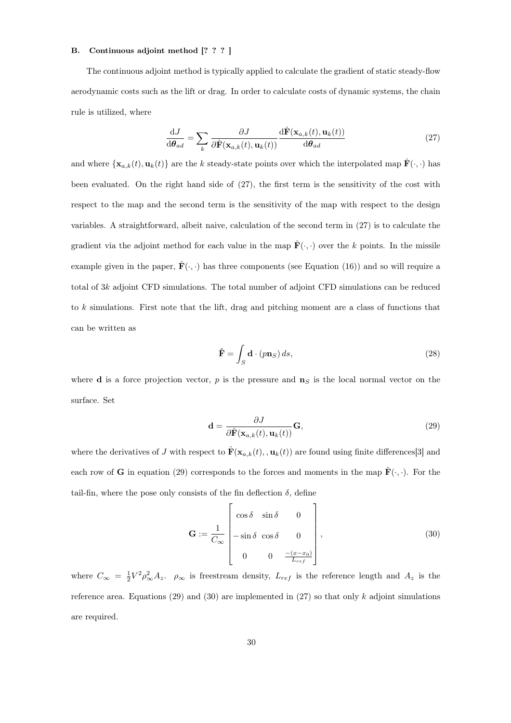## B. Continuous adjoint method [? ? ? ]

The continuous adjoint method is typically applied to calculate the gradient of static steady-flow aerodynamic costs such as the lift or drag. In order to calculate costs of dynamic systems, the chain rule is utilized, where

$$
\frac{\mathrm{d}J}{\mathrm{d}\theta_{ad}} = \sum_{k} \frac{\partial J}{\partial \hat{\mathbf{F}}(\mathbf{x}_{a,k}(t), \mathbf{u}_k(t))} \frac{\mathrm{d}\hat{\mathbf{F}}(\mathbf{x}_{a,k}(t), \mathbf{u}_k(t))}{\mathrm{d}\theta_{ad}}
$$
(27)

and where  $\{\mathbf{x}_{a,k}(t), \mathbf{u}_k(t)\}\)$  are the k steady-state points over which the interpolated map  $\hat{\mathbf{F}}(\cdot, \cdot)$  has been evaluated. On the right hand side of (27), the first term is the sensitivity of the cost with respect to the map and the second term is the sensitivity of the map with respect to the design variables. A straightforward, albeit naive, calculation of the second term in (27) is to calculate the gradient via the adjoint method for each value in the map  $\mathbf{\hat{F}}(\cdot,\cdot)$  over the k points. In the missile example given in the paper,  $\hat{\mathbf{F}}(\cdot,\cdot)$  has three components (see Equation (16)) and so will require a total of  $3k$  adjoint CFD simulations. The total number of adjoint CFD simulations can be reduced to k simulations. First note that the lift, drag and pitching moment are a class of functions that can be written as

$$
\hat{\mathbf{F}} = \int_{S} \mathbf{d} \cdot (p \mathbf{n}_{S}) ds,
$$
\n(28)

where **d** is a force projection vector, p is the pressure and  $\mathbf{n}_S$  is the local normal vector on the surface. Set

$$
\mathbf{d} = \frac{\partial J}{\partial \hat{\mathbf{F}}(\mathbf{x}_{a,k}(t), \mathbf{u}_k(t))} \mathbf{G},\tag{29}
$$

where the derivatives of J with respect to  $\hat{\mathbf{F}}(\mathbf{x}_{a,k}(t), \mathbf{u}_k(t))$  are found using finite differences [3] and each row of G in equation (29) corresponds to the forces and moments in the map  $\mathbf{\hat{F}}(\cdot,\cdot)$ . For the tail-fin, where the pose only consists of the fin deflection  $\delta$ , define

$$
\mathbf{G} := \frac{1}{C_{\infty}} \begin{bmatrix} \cos \delta & \sin \delta & 0 \\ -\sin \delta & \cos \delta & 0 \\ 0 & 0 & \frac{-(x-x_0)}{L_{ref}} \end{bmatrix},
$$
(30)

where  $C_{\infty} = \frac{1}{2}V^2 \rho_{\infty}^2 A_z$ .  $\rho_{\infty}$  is freestream density,  $L_{ref}$  is the reference length and  $A_z$  is the reference area. Equations (29) and (30) are implemented in (27) so that only k adjoint simulations are required.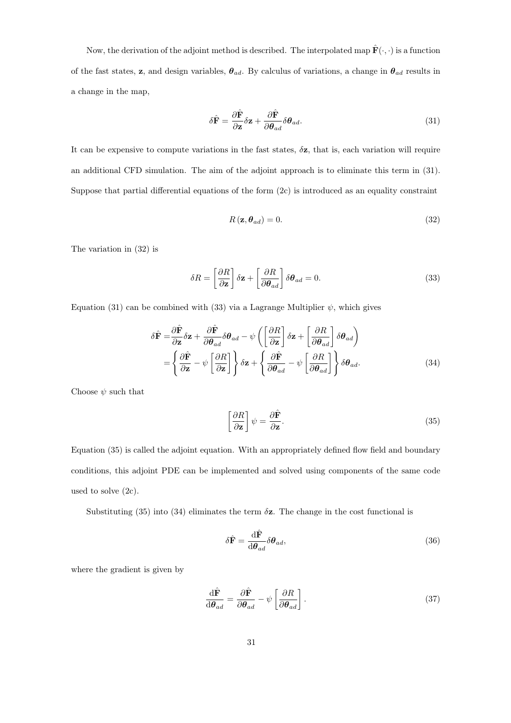Now, the derivation of the adjoint method is described. The interpolated map  $\hat{\mathbf{F}}(\cdot,\cdot)$  is a function of the fast states, z, and design variables,  $\theta_{ad}$ . By calculus of variations, a change in  $\theta_{ad}$  results in a change in the map,

$$
\delta \hat{\mathbf{F}} = \frac{\partial \hat{\mathbf{F}}}{\partial \mathbf{z}} \delta \mathbf{z} + \frac{\partial \hat{\mathbf{F}}}{\partial \theta_{ad}} \delta \theta_{ad}.
$$
\n(31)

It can be expensive to compute variations in the fast states,  $\delta z$ , that is, each variation will require an additional CFD simulation. The aim of the adjoint approach is to eliminate this term in (31). Suppose that partial differential equations of the form (2c) is introduced as an equality constraint

$$
R\left(\mathbf{z},\boldsymbol{\theta}_{ad}\right)=0.\tag{32}
$$

The variation in (32) is

$$
\delta R = \left[\frac{\partial R}{\partial \mathbf{z}}\right] \delta \mathbf{z} + \left[\frac{\partial R}{\partial \theta_{ad}}\right] \delta \theta_{ad} = 0. \tag{33}
$$

Equation (31) can be combined with (33) via a Lagrange Multiplier  $\psi$ , which gives

$$
\delta \hat{\mathbf{F}} = \frac{\partial \hat{\mathbf{F}}}{\partial \mathbf{z}} \delta \mathbf{z} + \frac{\partial \hat{\mathbf{F}}}{\partial \theta_{ad}} \delta \theta_{ad} - \psi \left( \left[ \frac{\partial R}{\partial \mathbf{z}} \right] \delta \mathbf{z} + \left[ \frac{\partial R}{\partial \theta_{ad}} \right] \delta \theta_{ad} \right)
$$

$$
= \left\{ \frac{\partial \hat{\mathbf{F}}}{\partial \mathbf{z}} - \psi \left[ \frac{\partial R}{\partial \mathbf{z}} \right] \right\} \delta \mathbf{z} + \left\{ \frac{\partial \hat{\mathbf{F}}}{\partial \theta_{ad}} - \psi \left[ \frac{\partial R}{\partial \theta_{ad}} \right] \right\} \delta \theta_{ad}.
$$
(34)

Choose  $\psi$  such that

$$
\left[\frac{\partial R}{\partial \mathbf{z}}\right]\psi = \frac{\partial \hat{\mathbf{F}}}{\partial \mathbf{z}}.
$$
\n(35)

Equation (35) is called the adjoint equation. With an appropriately defined flow field and boundary conditions, this adjoint PDE can be implemented and solved using components of the same code used to solve (2c).

Substituting (35) into (34) eliminates the term  $\delta z$ . The change in the cost functional is

$$
\delta \hat{\mathbf{F}} = \frac{\mathrm{d}\hat{\mathbf{F}}}{\mathrm{d}\theta_{ad}} \delta\theta_{ad},\tag{36}
$$

where the gradient is given by

$$
\frac{\mathrm{d}\hat{\mathbf{F}}}{\mathrm{d}\boldsymbol{\theta}_{ad}} = \frac{\partial \hat{\mathbf{F}}}{\partial \boldsymbol{\theta}_{ad}} - \psi \left[ \frac{\partial R}{\partial \boldsymbol{\theta}_{ad}} \right]. \tag{37}
$$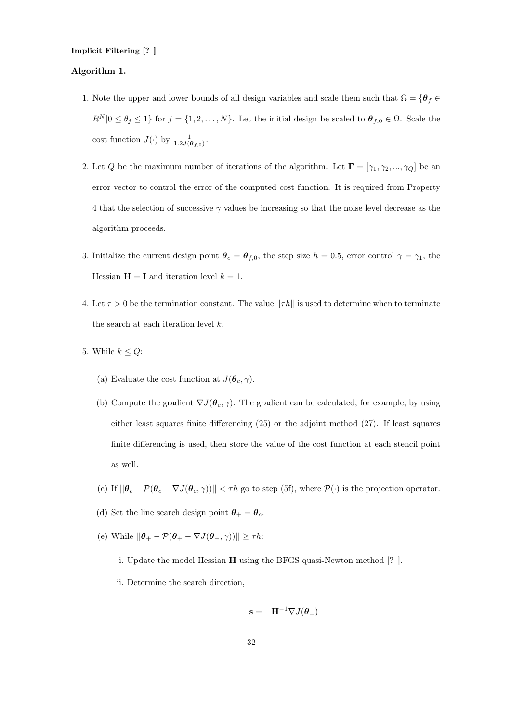# Implicit Filtering [? ]

# Algorithm 1.

- 1. Note the upper and lower bounds of all design variables and scale them such that  $\Omega = \{ \theta_f \in$  $R^N |0 \leq \theta_j \leq 1$  for  $j = \{1, 2, ..., N\}$ . Let the initial design be scaled to  $\theta_{f,0} \in \Omega$ . Scale the cost function  $J(\cdot)$  by  $\frac{1}{1.2J(\boldsymbol{\theta}_{f,0})}$ .
- 2. Let Q be the maximum number of iterations of the algorithm. Let  $\mathbf{\Gamma} = [\gamma_1, \gamma_2, ..., \gamma_Q]$  be an error vector to control the error of the computed cost function. It is required from Property 4 that the selection of successive  $\gamma$  values be increasing so that the noise level decrease as the algorithm proceeds.
- 3. Initialize the current design point  $\theta_c = \theta_{f,0}$ , the step size  $h = 0.5$ , error control  $\gamma = \gamma_1$ , the Hessian  $H = I$  and iteration level  $k = 1$ .
- 4. Let  $\tau > 0$  be the termination constant. The value  $||\tau h||$  is used to determine when to terminate the search at each iteration level  $k$ .
- 5. While  $k \leq Q$ :
	- (a) Evaluate the cost function at  $J(\theta_c, \gamma)$ .
	- (b) Compute the gradient  $\nabla J(\theta_c, \gamma)$ . The gradient can be calculated, for example, by using either least squares finite differencing (25) or the adjoint method (27). If least squares finite differencing is used, then store the value of the cost function at each stencil point as well.
	- (c) If  $||\boldsymbol{\theta}_c \mathcal{P}(\boldsymbol{\theta}_c \nabla J(\boldsymbol{\theta}_c, \gamma))|| < \tau h$  go to step (5f), where  $\mathcal{P}(\cdot)$  is the projection operator.
	- (d) Set the line search design point  $\theta_+ = \theta_c$ .
	- (e) While  $||\boldsymbol{\theta}_+ \mathcal{P}(\boldsymbol{\theta}_+ \nabla J(\boldsymbol{\theta}_+,\gamma))|| \geq \tau h$ :
		- i. Update the model Hessian H using the BFGS quasi-Newton method [? ].
		- ii. Determine the search direction,

$$
\mathbf{s} = -\mathbf{H}^{-1} \nabla J(\boldsymbol{\theta}_+)
$$